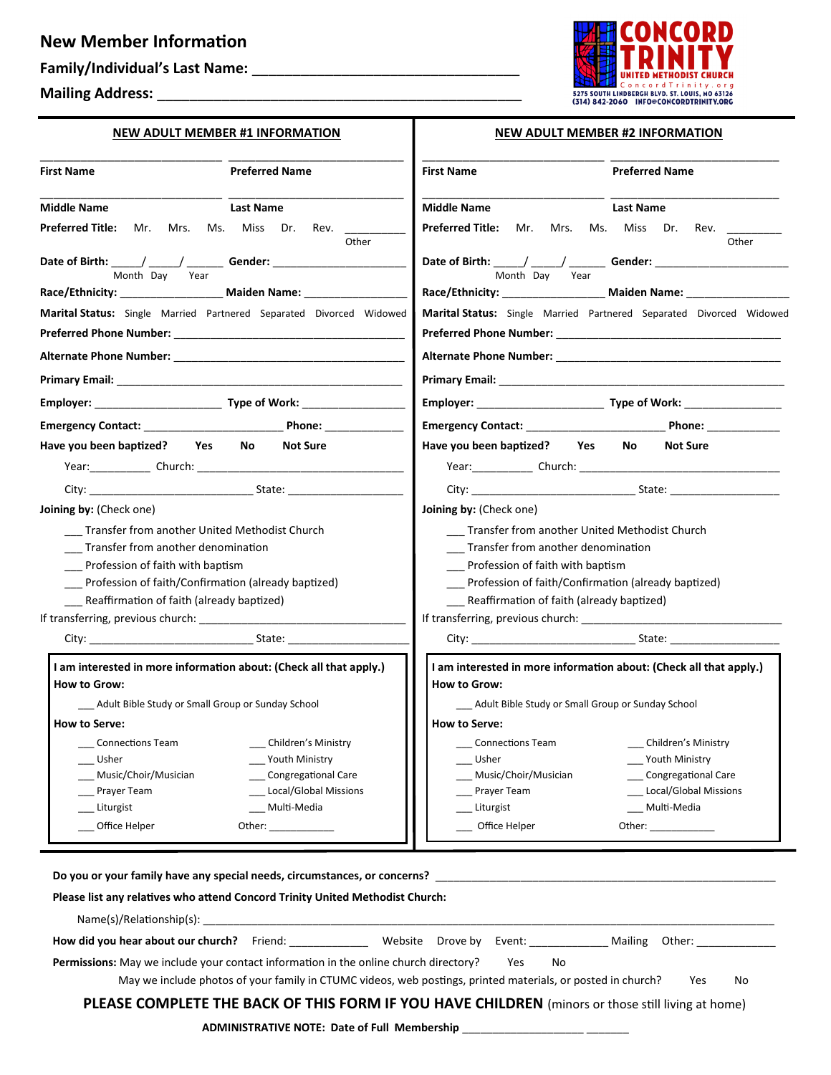## **New Member Information**

## **Family/Individual's Last Name:** \_\_\_\_\_\_\_\_\_\_\_\_\_\_\_\_\_\_\_\_\_\_\_\_\_\_\_\_\_\_\_\_\_

**NEW ADULT MEMBER #1 INFORMATION**

**Mailing Address:** \_\_\_\_\_\_\_\_\_\_\_\_\_\_\_\_\_\_\_\_\_\_\_\_\_\_\_\_\_\_\_\_\_\_\_\_\_\_\_\_\_\_\_\_\_



|  |  |  | <b>NEW ADULT MEMBER #2 INFORMATION</b> |
|--|--|--|----------------------------------------|
|--|--|--|----------------------------------------|

| <b>Preferred Name</b><br><b>First Name</b>                                                                                                                                                                                                                                                                                                                                                                                                                   | <b>Preferred Name</b><br><b>First Name</b>                                                                      |
|--------------------------------------------------------------------------------------------------------------------------------------------------------------------------------------------------------------------------------------------------------------------------------------------------------------------------------------------------------------------------------------------------------------------------------------------------------------|-----------------------------------------------------------------------------------------------------------------|
| <b>Middle Name</b><br><b>Last Name</b>                                                                                                                                                                                                                                                                                                                                                                                                                       | <b>Middle Name</b><br><b>Last Name</b>                                                                          |
| Preferred Title: Mr. Mrs. Ms. Miss Dr. Rev.<br>Other                                                                                                                                                                                                                                                                                                                                                                                                         | Preferred Title: Mr. Mrs. Ms. Miss Dr.<br>Rev.<br>Other                                                         |
| Date of Birth: $\frac{1}{2}$ / $\frac{1}{2}$ Gender: $\frac{1}{2}$ Gender:<br>Month Day<br>Year                                                                                                                                                                                                                                                                                                                                                              | Date of Birth: _____/ _____/ _________ Gender: _________________________________<br>Month Day<br>Year           |
| Race/Ethnicity: Maiden Name:                                                                                                                                                                                                                                                                                                                                                                                                                                 | Race/Ethnicity: Maiden Name:                                                                                    |
| Marital Status: Single Married Partnered Separated Divorced Widowed                                                                                                                                                                                                                                                                                                                                                                                          | Marital Status: Single Married Partnered Separated Divorced Widowed                                             |
|                                                                                                                                                                                                                                                                                                                                                                                                                                                              |                                                                                                                 |
|                                                                                                                                                                                                                                                                                                                                                                                                                                                              |                                                                                                                 |
|                                                                                                                                                                                                                                                                                                                                                                                                                                                              |                                                                                                                 |
|                                                                                                                                                                                                                                                                                                                                                                                                                                                              |                                                                                                                 |
|                                                                                                                                                                                                                                                                                                                                                                                                                                                              |                                                                                                                 |
| Have you been baptized? Yes No<br><b>Not Sure</b>                                                                                                                                                                                                                                                                                                                                                                                                            | Have you been baptized? Yes<br>No<br><b>Not Sure</b>                                                            |
|                                                                                                                                                                                                                                                                                                                                                                                                                                                              | Year: Church: 2008 2009 2010 2021 2022 2023 2024 2024 2022 2023 2024 2022 2023 2024 2022 2023 2024 2022 2023 20 |
|                                                                                                                                                                                                                                                                                                                                                                                                                                                              |                                                                                                                 |
| Joining by: (Check one)                                                                                                                                                                                                                                                                                                                                                                                                                                      | Joining by: (Check one)                                                                                         |
| Transfer from another United Methodist Church                                                                                                                                                                                                                                                                                                                                                                                                                | Transfer from another United Methodist Church                                                                   |
| Transfer from another denomination                                                                                                                                                                                                                                                                                                                                                                                                                           | ___ Transfer from another denomination                                                                          |
| Profession of faith with baptism                                                                                                                                                                                                                                                                                                                                                                                                                             | Profession of faith with baptism                                                                                |
| Profession of faith/Confirmation (already baptized)                                                                                                                                                                                                                                                                                                                                                                                                          | Profession of faith/Confirmation (already baptized)                                                             |
| Reaffirmation of faith (already baptized)                                                                                                                                                                                                                                                                                                                                                                                                                    | Reaffirmation of faith (already baptized)                                                                       |
|                                                                                                                                                                                                                                                                                                                                                                                                                                                              |                                                                                                                 |
|                                                                                                                                                                                                                                                                                                                                                                                                                                                              |                                                                                                                 |
| I am interested in more information about: (Check all that apply.)                                                                                                                                                                                                                                                                                                                                                                                           | I am interested in more information about: (Check all that apply.)                                              |
| <b>How to Grow:</b>                                                                                                                                                                                                                                                                                                                                                                                                                                          | <b>How to Grow:</b>                                                                                             |
| ___ Adult Bible Study or Small Group or Sunday School                                                                                                                                                                                                                                                                                                                                                                                                        | __ Adult Bible Study or Small Group or Sunday School                                                            |
| <b>How to Serve:</b>                                                                                                                                                                                                                                                                                                                                                                                                                                         | <b>How to Serve:</b>                                                                                            |
| Children's Ministry<br>_Connections Team       __                                                                                                                                                                                                                                                                                                                                                                                                            | Children's Ministry<br>__ Connections Team       ___                                                            |
| Youth Ministry<br>Usher                                                                                                                                                                                                                                                                                                                                                                                                                                      | Youth Ministry<br>Usher                                                                                         |
| Music/Choir/Musician<br>Congregational Care                                                                                                                                                                                                                                                                                                                                                                                                                  | Congregational Care<br>Music/Choir/Musician                                                                     |
| Prayer Team<br>Local/Global Missions                                                                                                                                                                                                                                                                                                                                                                                                                         | _ Local/Global Missions<br>Prayer Team                                                                          |
|                                                                                                                                                                                                                                                                                                                                                                                                                                                              | Liturgist<br>Multi-Media                                                                                        |
| Liturgist<br>Multi-Media<br>Office Helper<br>Other: $\frac{1}{\frac{1}{1-\frac{1}{1-\frac{1}{1-\frac{1}{1-\frac{1}{1-\frac{1}{1-\frac{1}{1-\frac{1}{1-\frac{1}{1-\frac{1}{1-\frac{1}{1-\frac{1}{1-\frac{1}{1-\frac{1}{1-\frac{1}{1-\frac{1}{1-\frac{1}{1-\frac{1}{1-\frac{1}{1-\frac{1}{1-\frac{1}{1-\frac{1}{1-\frac{1}{1-\frac{1}{1-\frac{1}{1-\frac{1}{1-\frac{1}{1-\frac{1}{1-\frac{1}{1-\frac{1}{1-\frac{1}{1-\frac{1}{1-\frac{1}{1-\frac{1}{1-\frac{1$ | Office Helper                                                                                                   |

 $\mathbf{I}$ 

| How did you hear about our church?                                                          | Friend:                                                                                                     | Website Drove by Event: |     |    | Mailing Other: |     |    |
|---------------------------------------------------------------------------------------------|-------------------------------------------------------------------------------------------------------------|-------------------------|-----|----|----------------|-----|----|
| <b>Permissions:</b> May we include your contact information in the online church directory? |                                                                                                             |                         | Yes | No |                |     |    |
|                                                                                             | May we include photos of your family in CTUMC videos, web postings, printed materials, or posted in church? |                         |     |    |                | Yes | No |

## **PLEASE COMPLETE THE BACK OF THIS FORM IF YOU HAVE CHILDREN** (minors or those still living at home)

**ADMINISTRATIVE NOTE: Date of Full Membership** \_\_\_\_\_\_\_\_\_\_\_\_\_\_\_\_\_\_\_\_ \_\_\_\_\_\_\_